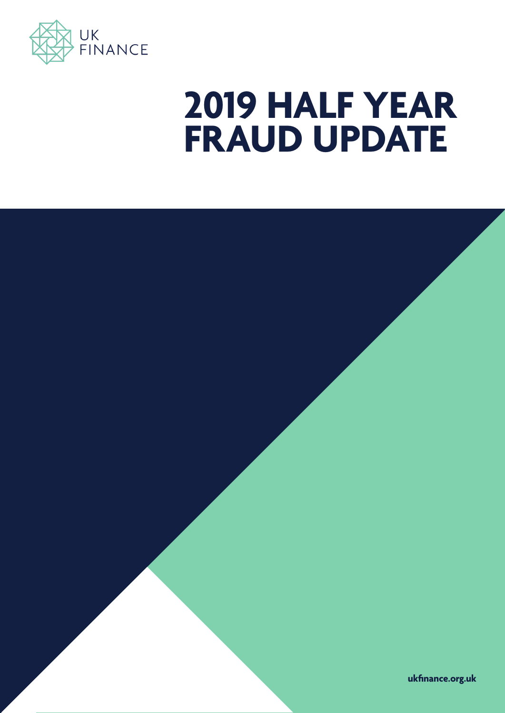

## **2019 HALF YEAR FRAUD UPDATE**

**ukfinance.org.uk**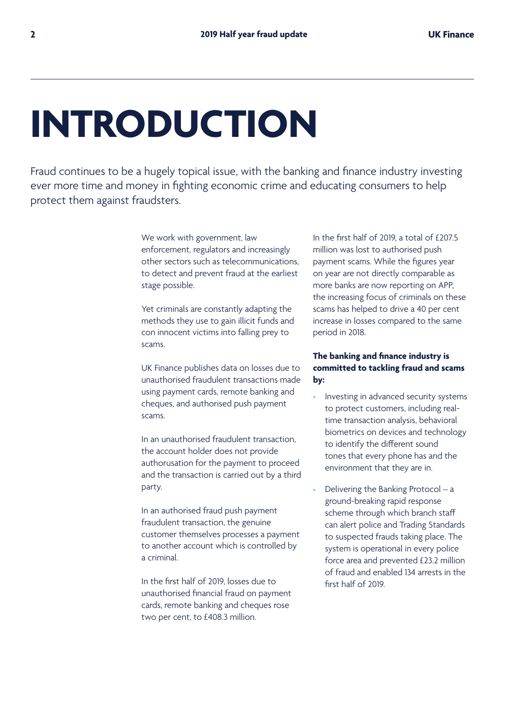# **INTRODUCTION**

Fraud continues to be a hugely topical issue, with the banking and finance industry investing ever more time and money in fighting economic crime and educating consumers to help protect them against fraudsters.

> We work with government, law enforcement, regulators and increasingly other sectors such as telecommunications, to detect and prevent fraud at the earliest stage possible.

Yet criminals are constantly adapting the methods they use to gain illicit funds and con innocent victims into falling prey to scams.

UK Finance publishes data on losses due to unauthorised fraudulent transactions made using payment cards, remote banking and cheques, and authorised push payment scams.

In an unauthorised fraudulent transaction, the account holder does not provide authorusation for the payment to proceed and the transaction is carried out by a third party.

In an authorised fraud push payment fraudulent transaction, the genuine customer themselves processes a payment to another account which is controlled by a criminal.

In the first half of 2019, losses due to unauthorised financial fraud on payment cards, remote banking and cheques rose two per cent, to £408.3 million.

In the first half of 2019, a total of £207.5 million was lost to authorised push payment scams. While the figures year on year are not directly comparable as more banks are now reporting on APP, the increasing focus of criminals on these scams has helped to drive a 40 per cent increase in losses compared to the same period in 2018.

#### **The banking and finance industry is committed to tackling fraud and scams by:**

- Investing in advanced security systems to protect customers, including realtime transaction analysis, behavioral biometrics on devices and technology to identify the different sound tones that every phone has and the environment that they are in.
- Delivering the Banking Protocol a ground-breaking rapid response scheme through which branch staff can alert police and Trading Standards to suspected frauds taking place. The system is operational in every police force area and prevented £23.2 million of fraud and enabled 134 arrests in the first half of 2019.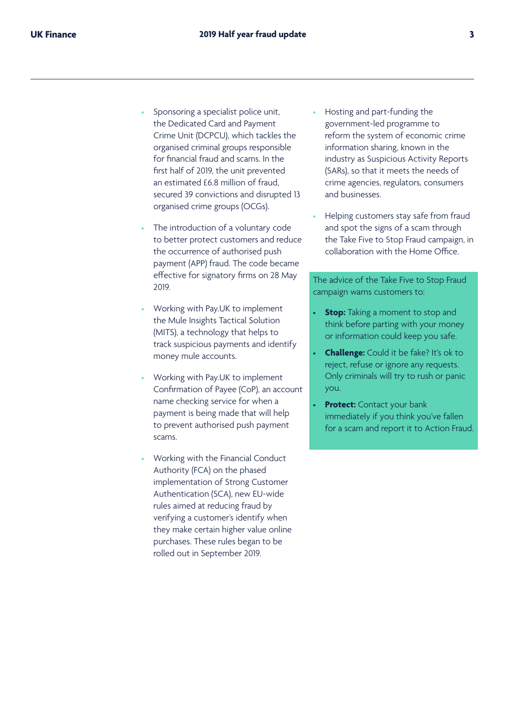- Sponsoring a specialist police unit, the Dedicated Card and Payment Crime Unit (DCPCU), which tackles the organised criminal groups responsible for financial fraud and scams. In the first half of 2019, the unit prevented an estimated £6.8 million of fraud, secured 39 convictions and disrupted 13 organised crime groups (OCGs).
- The introduction of a voluntary code to better protect customers and reduce the occurrence of authorised push payment (APP) fraud. The code became effective for signatory firms on 28 May 2019.
- Working with Pay.UK to implement the Mule Insights Tactical Solution (MITS), a technology that helps to track suspicious payments and identify money mule accounts.
- Working with Pay.UK to implement Confirmation of Payee (CoP), an account name checking service for when a payment is being made that will help to prevent authorised push payment scams.
- Working with the Financial Conduct Authority (FCA) on the phased implementation of Strong Customer Authentication (SCA), new EU-wide rules aimed at reducing fraud by verifying a customer's identify when they make certain higher value online purchases. These rules began to be rolled out in September 2019.
- Hosting and part-funding the government-led programme to reform the system of economic crime information sharing, known in the industry as Suspicious Activity Reports (SARs), so that it meets the needs of crime agencies, regulators, consumers and businesses.
- Helping customers stay safe from fraud and spot the signs of a scam through the Take Five to Stop Fraud campaign, in collaboration with the Home Office.

The advice of the Take Five to Stop Fraud campaign warns customers to:

- **Stop:** Taking a moment to stop and think before parting with your money or information could keep you safe.
- **Challenge:** Could it be fake? It's ok to reject, refuse or ignore any requests. Only criminals will try to rush or panic you.
- **Protect:** Contact your bank immediately if you think you've fallen for a scam and report it to Action Fraud.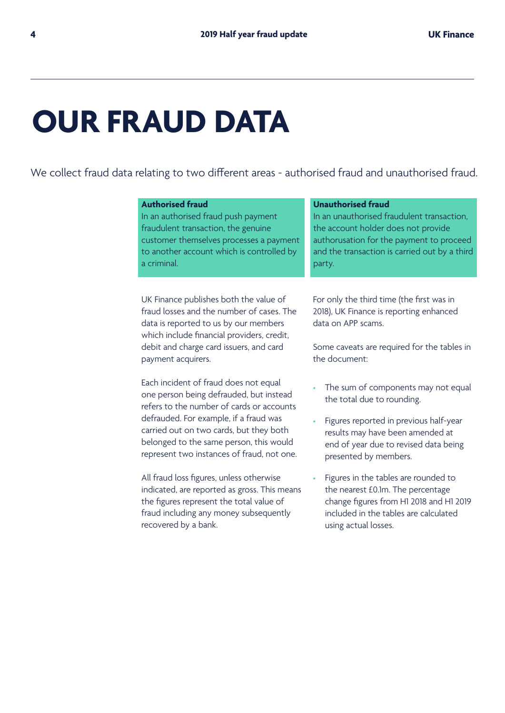## **OUR FRAUD DATA**

We collect fraud data relating to two different areas - authorised fraud and unauthorised fraud.

| <b>Authorised fraud</b>                                                                                                                                                    | <b>Unauthorised fraud</b>                                                                                  |
|----------------------------------------------------------------------------------------------------------------------------------------------------------------------------|------------------------------------------------------------------------------------------------------------|
| In an authorised fraud push payment                                                                                                                                        | In an unauthorised fraudulent transaction,                                                                 |
| fraudulent transaction, the genuine                                                                                                                                        | the account holder does not provide                                                                        |
| customer themselves processes a payment                                                                                                                                    | authorusation for the payment to proceed                                                                   |
| to another account which is controlled by                                                                                                                                  | and the transaction is carried out by a third                                                              |
| a criminal.                                                                                                                                                                | party.                                                                                                     |
| UK Finance publishes both the value of<br>fraud losses and the number of cases. The<br>data is reported to us by our members<br>which include financial providers, credit, | For only the third time (the first was in<br>2018), UK Finance is reporting enhanced<br>data on APP scams. |
|                                                                                                                                                                            |                                                                                                            |
| debit and charge card issuers, and card<br>payment acquirers.                                                                                                              | Some caveats are required for the tables in<br>the document:                                               |

The sum of components may not equal the total due to rounding.

- Figures reported in previous half-year results may have been amended at end of year due to revised data being presented by members.
- Figures in the tables are rounded to the nearest £0.1m. The percentage change figures from H1 2018 and H1 2019 included in the tables are calculated using actual losses.

## Each incident of fraud does not equal one person being defrauded, but instead refers to the number of cards or accounts defrauded. For example, if a fraud was carried out on two cards, but they both belonged to the same person, this would represent two instances of fraud, not one. All fraud loss figures, unless otherwise indicated, are reported as gross. This means

the figures represent the total value of fraud including any money subsequently recovered by a bank.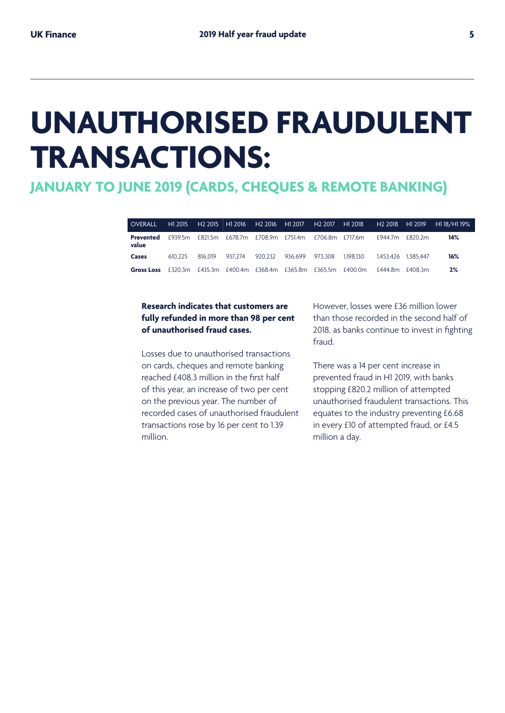## **UNAUTHORISED FRAUDULENT TRANSACTIONS:**

## **JANUARY TO JUNE 2019 (CARDS, CHEQUES & REMOTE BANKING)**

| <b>OVERALL</b>     | H1 2015 | H2 2015 H1 2016 |                                         | H2 2016 H1 2017 |         | H <sub>2</sub> 2017 | H1 2018   |          | H <sub>2</sub> 2018 H <sub>1</sub> 2019 | H1 18/H1 19% |
|--------------------|---------|-----------------|-----------------------------------------|-----------------|---------|---------------------|-----------|----------|-----------------------------------------|--------------|
| Prevented<br>value | £939.5m |                 | £821.5m £678.7m £708.9m £751.4m         |                 |         | £706.8m £717.6m     |           | f9447m   | f820.2m                                 | 14%          |
| Cases              | 610 225 | 816.019 937.274 |                                         | 920.232         | 936.699 | 973.308             | 1.198.130 |          | 1.453.426 1.385.447                     | 16%          |
| <b>Gross Loss</b>  |         |                 | £320.3m £435.3m £400.4m £368.4m £365.8m |                 |         | £365.5m £400.0m     |           | f 444 8m | f4083m                                  | 2%           |

#### **Research indicates that customers are fully refunded in more than 98 per cent of unauthorised fraud cases.**

Losses due to unauthorised transactions on cards, cheques and remote banking reached £408.3 million in the first half of this year, an increase of two per cent on the previous year. The number of recorded cases of unauthorised fraudulent transactions rose by 16 per cent to 1.39 million.

However, losses were £36 million lower than those recorded in the second half of 2018, as banks continue to invest in fighting fraud.

There was a 14 per cent increase in prevented fraud in H1 2019, with banks stopping £820.2 million of attempted unauthorised fraudulent transactions. This equates to the industry preventing £6.68 in every £10 of attempted fraud, or £4.5 million a day.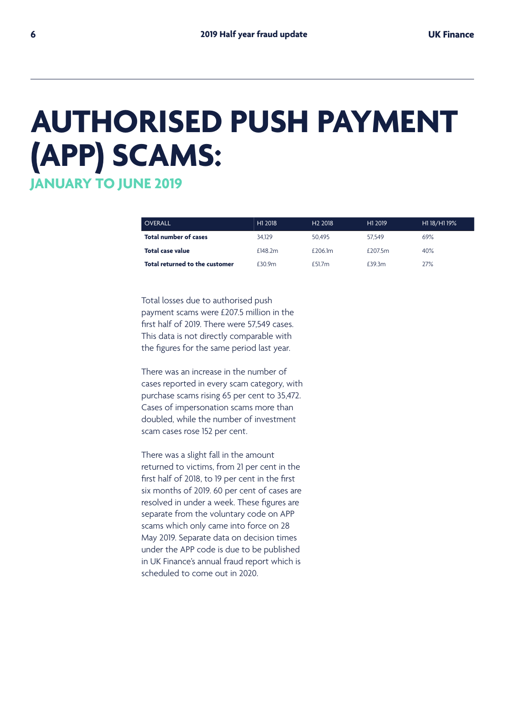## **AUTHORISED PUSH PAYMENT (APP) SCAMS:**

**JANUARY TO JUNE 2019** 

| <b>OVERALL</b>                 | H1 2018 | H <sub>2</sub> 2018 | H1 2019   | H1 18/H1 19% |
|--------------------------------|---------|---------------------|-----------|--------------|
| <b>Total number of cases</b>   | 34.129  | 50.495              | 57.549    | 69%          |
| Total case value               | £148.2m | $f$ 206 $\text{Im}$ | $f$ 2075m | 40%          |
| Total returned to the customer | f309m   | f 51.7m             | £39.3m    | 27%          |

Total losses due to authorised push payment scams were £207.5 million in the first half of 2019. There were 57,549 cases. This data is not directly comparable with the figures for the same period last year.

There was an increase in the number of cases reported in every scam category, with purchase scams rising 65 per cent to 35,472. Cases of impersonation scams more than doubled, while the number of investment scam cases rose 152 per cent.

There was a slight fall in the amount returned to victims, from 21 per cent in the first half of 2018, to 19 per cent in the first six months of 2019. 60 per cent of cases are resolved in under a week. These figures are separate from the voluntary code on APP scams which only came into force on 28 May 2019. Separate data on decision times under the APP code is due to be published in UK Finance's annual fraud report which is scheduled to come out in 2020.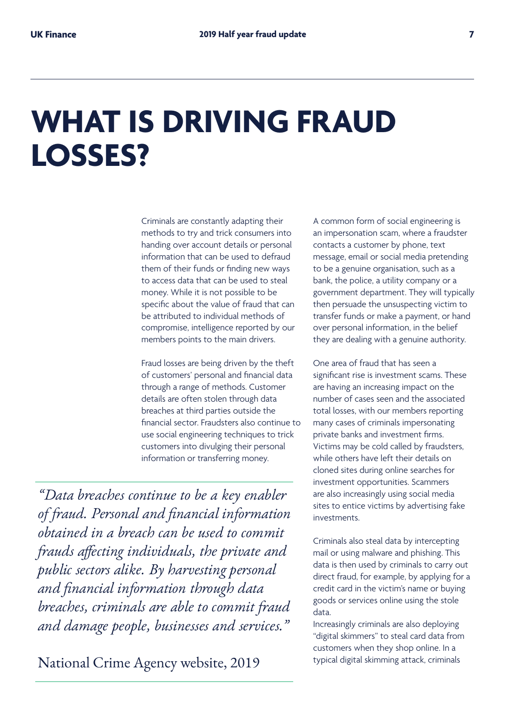## **WHAT IS DRIVING FRAUD LOSSES?**

Criminals are constantly adapting their methods to try and trick consumers into handing over account details or personal information that can be used to defraud them of their funds or finding new ways to access data that can be used to steal money. While it is not possible to be specific about the value of fraud that can be attributed to individual methods of compromise, intelligence reported by our members points to the main drivers.

Fraud losses are being driven by the theft of customers' personal and financial data through a range of methods. Customer details are often stolen through data breaches at third parties outside the financial sector. Fraudsters also continue to use social engineering techniques to trick customers into divulging their personal information or transferring money.

*"Data breaches continue to be a key enabler of fraud. Personal and financial information obtained in a breach can be used to commit frauds affecting individuals, the private and public sectors alike. By harvesting personal and financial information through data breaches, criminals are able to commit fraud and damage people, businesses and services."* 

National Crime Agency website, 2019

A common form of social engineering is an impersonation scam, where a fraudster contacts a customer by phone, text message, email or social media pretending to be a genuine organisation, such as a bank, the police, a utility company or a government department. They will typically then persuade the unsuspecting victim to transfer funds or make a payment, or hand over personal information, in the belief they are dealing with a genuine authority.

One area of fraud that has seen a significant rise is investment scams. These are having an increasing impact on the number of cases seen and the associated total losses, with our members reporting many cases of criminals impersonating private banks and investment firms. Victims may be cold called by fraudsters, while others have left their details on cloned sites during online searches for investment opportunities. Scammers are also increasingly using social media sites to entice victims by advertising fake investments.

Criminals also steal data by intercepting mail or using malware and phishing. This data is then used by criminals to carry out direct fraud, for example, by applying for a credit card in the victim's name or buying goods or services online using the stole data.

Increasingly criminals are also deploying "digital skimmers" to steal card data from customers when they shop online. In a typical digital skimming attack, criminals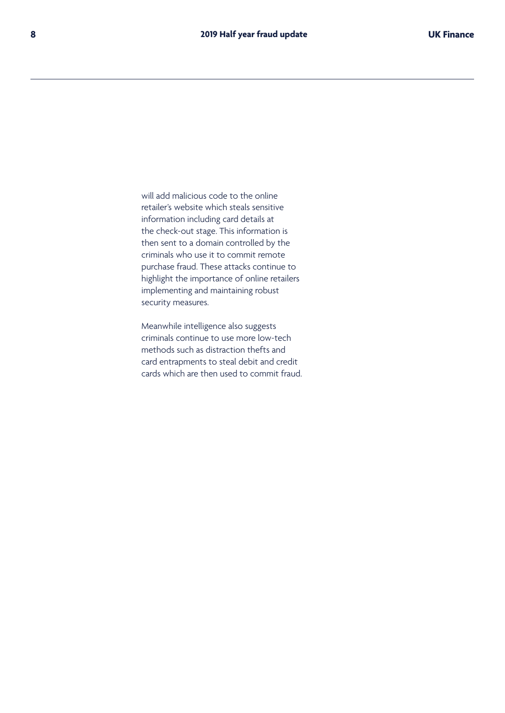will add malicious code to the online retailer's website which steals sensitive information including card details at the check-out stage. This information is then sent to a domain controlled by the criminals who use it to commit remote purchase fraud. These attacks continue to highlight the importance of online retailers implementing and maintaining robust security measures.

Meanwhile intelligence also suggests criminals continue to use more low-tech methods such as distraction thefts and card entrapments to steal debit and credit cards which are then used to commit fraud.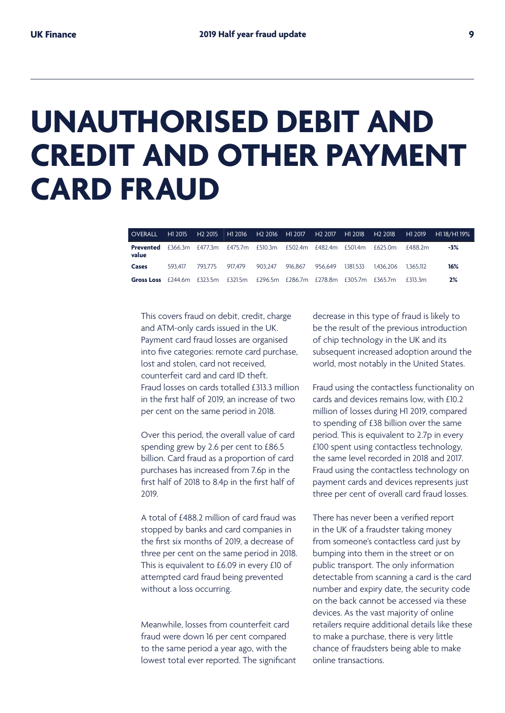## **UNAUTHORISED DEBIT AND CREDIT AND OTHER PAYMENT CARD FRAUD**

| <b>OVERALL</b>                                                                    | H1 2015 | H <sub>2</sub> 2015 | ∣ H1 2016                                       | H <sub>2</sub> 2016 H <sub>1</sub> 2017 |         |         | H2 2017 H1 2018 H2 2018 |           | H <sub>1</sub> 2019 | H1 18/H1 19% |
|-----------------------------------------------------------------------------------|---------|---------------------|-------------------------------------------------|-----------------------------------------|---------|---------|-------------------------|-----------|---------------------|--------------|
| Prevented<br>value                                                                |         | £366.3m £477.3m     | £475.7m £510.3m £502.4m £482.4m £501.4m £625.0m |                                         |         |         |                         |           | f488.2m             | $-3%$        |
| Cases                                                                             | 593.417 | 793.775 917.479     |                                                 | 903.247                                 | 916.867 | 956.649 | 1.181.533               | 1.436.206 | 1.365.112           | 16%          |
| <b>Gross Loss</b> £244.6m £323.5m £321.5m £296.5m £286.7m £278.8m £305.7m £365.7m |         |                     |                                                 |                                         |         |         |                         |           | f313.3m             | 2%           |

This covers fraud on debit, credit, charge and ATM-only cards issued in the UK. Payment card fraud losses are organised into five categories: remote card purchase, lost and stolen, card not received, counterfeit card and card ID theft. Fraud losses on cards totalled £313.3 million in the first half of 2019, an increase of two per cent on the same period in 2018.

Over this period, the overall value of card spending grew by 2.6 per cent to £86.5 billion. Card fraud as a proportion of card purchases has increased from 7.6p in the first half of 2018 to 8.4p in the first half of 2019.

A total of £488.2 million of card fraud was stopped by banks and card companies in the first six months of 2019, a decrease of three per cent on the same period in 2018. This is equivalent to £6.09 in every £10 of attempted card fraud being prevented without a loss occurring.

Meanwhile, losses from counterfeit card fraud were down 16 per cent compared to the same period a year ago, with the lowest total ever reported. The significant decrease in this type of fraud is likely to be the result of the previous introduction of chip technology in the UK and its subsequent increased adoption around the world, most notably in the United States.

Fraud using the contactless functionality on cards and devices remains low, with £10.2 million of losses during H1 2019, compared to spending of £38 billion over the same period. This is equivalent to 2.7p in every £100 spent using contactless technology, the same level recorded in 2018 and 2017. Fraud using the contactless technology on payment cards and devices represents just three per cent of overall card fraud losses.

There has never been a verified report in the UK of a fraudster taking money from someone's contactless card just by bumping into them in the street or on public transport. The only information detectable from scanning a card is the card number and expiry date, the security code on the back cannot be accessed via these devices. As the vast majority of online retailers require additional details like these to make a purchase, there is very little chance of fraudsters being able to make online transactions.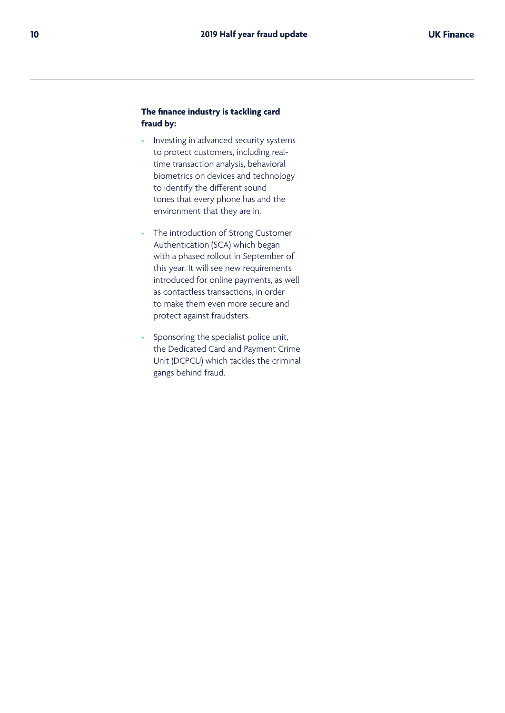#### **The finance industry is tackling card fraud by:**

- Investing in advanced security systems to protect customers, including realtime transaction analysis, behavioral biometrics on devices and technology to identify the different sound tones that every phone has and the environment that they are in.
- The introduction of Strong Customer Authentication (SCA) which began with a phased rollout in September of this year. It will see new requirements introduced for online payments, as well as contactless transactions, in order to make them even more secure and protect against fraudsters.
- Sponsoring the specialist police unit, the Dedicated Card and Payment Crime Unit (DCPCU) which tackles the criminal gangs behind fraud.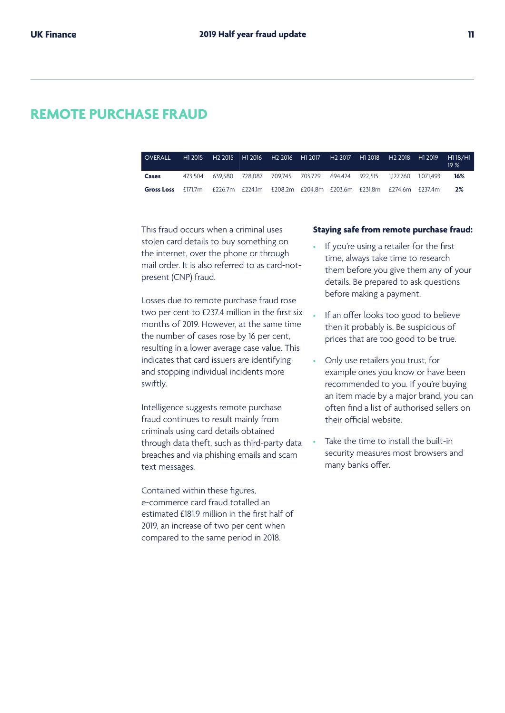### **REMOTE PURCHASE FRAUD**

| <b>OVERALL</b>                                                                     | H1 2015 | H <sub>2</sub> 2015 H1 2016                                                 |  |  |  | H118/H1<br>19% |
|------------------------------------------------------------------------------------|---------|-----------------------------------------------------------------------------|--|--|--|----------------|
| Cases                                                                              |         | 473.504 639.580 728.087 709.745 703.729 694.424 922.515 1.127.760 1.071.493 |  |  |  | 16%            |
| Gross Loss f171.7m f226.7m f224.1m f208.2m f204.8m f203.6m f231.8m f274.6m f237.4m |         |                                                                             |  |  |  | 2%             |

This fraud occurs when a criminal uses stolen card details to buy something on the internet, over the phone or through mail order. It is also referred to as card-notpresent (CNP) fraud.

Losses due to remote purchase fraud rose two per cent to £237.4 million in the first six months of 2019. However, at the same time the number of cases rose by 16 per cent, resulting in a lower average case value. This indicates that card issuers are identifying and stopping individual incidents more swiftly.

Intelligence suggests remote purchase fraud continues to result mainly from criminals using card details obtained through data theft, such as third-party data breaches and via phishing emails and scam text messages.

Contained within these figures, e-commerce card fraud totalled an estimated £181.9 million in the first half of 2019, an increase of two per cent when compared to the same period in 2018.

#### **Staying safe from remote purchase fraud:**

- If you're using a retailer for the first time, always take time to research them before you give them any of your details. Be prepared to ask questions before making a payment.
- If an offer looks too good to believe then it probably is. Be suspicious of prices that are too good to be true.
- Only use retailers you trust, for example ones you know or have been recommended to you. If you're buying an item made by a major brand, you can often find a list of authorised sellers on their official website.
- Take the time to install the built-in security measures most browsers and many banks offer.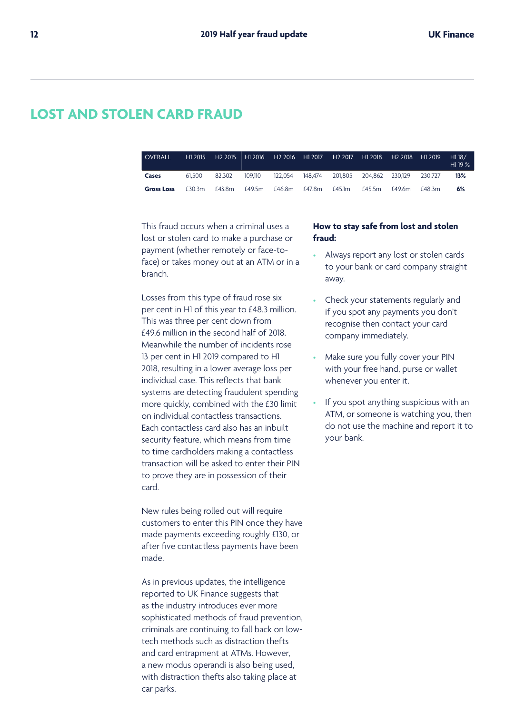## **LOST AND STOLEN CARD FRAUD**

| <b>OVERALL</b>    | H1 2015 |        |         |               |         |        |        | H2 2018 H1 2019 |         | H118/<br>H119% |
|-------------------|---------|--------|---------|---------------|---------|--------|--------|-----------------|---------|----------------|
| Cases             | 61.500  | 82.302 | 109.110 | 122.054       | 148.474 |        |        |                 | 230.727 | 13%            |
| <b>Gross Loss</b> | £30.3m  | £43.8m |         | £49.5m £46.8m | £47.8m  | £45.1m | £45.5m | £49.6m          | f48.3m  | 6%             |

This fraud occurs when a criminal uses a lost or stolen card to make a purchase or payment (whether remotely or face-toface) or takes money out at an ATM or in a branch.

Losses from this type of fraud rose six per cent in H1 of this year to £48.3 million. This was three per cent down from £49.6 million in the second half of 2018. Meanwhile the number of incidents rose 13 per cent in H1 2019 compared to H1 2018, resulting in a lower average loss per individual case. This reflects that bank systems are detecting fraudulent spending more quickly, combined with the £30 limit on individual contactless transactions. Each contactless card also has an inbuilt security feature, which means from time to time cardholders making a contactless transaction will be asked to enter their PIN to prove they are in possession of their card.

New rules being rolled out will require customers to enter this PIN once they have made payments exceeding roughly £130, or after five contactless payments have been made.

As in previous updates, the intelligence reported to UK Finance suggests that as the industry introduces ever more sophisticated methods of fraud prevention, criminals are continuing to fall back on lowtech methods such as distraction thefts and card entrapment at ATMs. However, a new modus operandi is also being used, with distraction thefts also taking place at car parks.

#### **How to stay safe from lost and stolen fraud:**

- Always report any lost or stolen cards to your bank or card company straight away.
- Check your statements regularly and if you spot any payments you don't recognise then contact your card company immediately.
- Make sure you fully cover your PIN with your free hand, purse or wallet whenever you enter it.
- If you spot anything suspicious with an ATM, or someone is watching you, then do not use the machine and report it to your bank.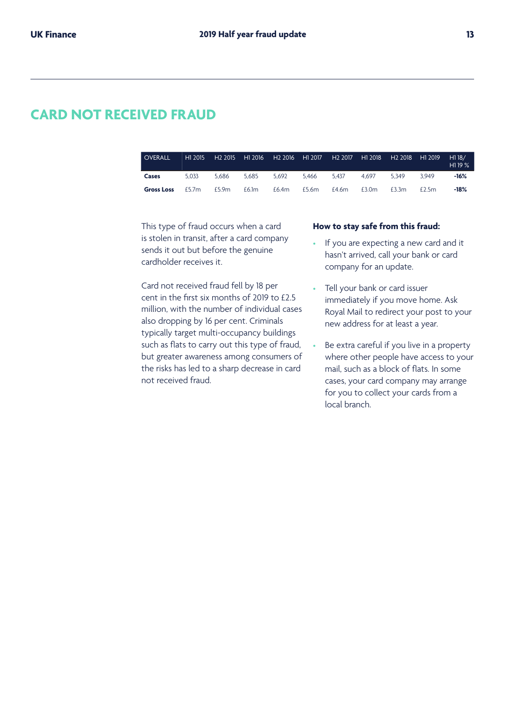### **CARD NOT RECEIVED FRAUD**

| <b>OVERALL</b>    | H1 2015 | H2 2015 │H1 2016 │H2 2016 │H1 2017 │H2 2017 │H1 2018 │ |       |       |       |       |       | H2 2018 H1 2019 |       | H118/<br>H119% |
|-------------------|---------|--------------------------------------------------------|-------|-------|-------|-------|-------|-----------------|-------|----------------|
| Cases             | 5.033   | 5.686                                                  | 5.685 | 5.692 | 5.466 | 5.437 | 4.697 | 5.349           | 3.949 | $-16%$         |
| <b>Gross Loss</b> | £5.7m   | £5.9m                                                  | £6.1m | £6.4m | £5.6m | £4.6m | £3.0m | £3.3m           | £2.5m | $-18%$         |

This type of fraud occurs when a card is stolen in transit, after a card company sends it out but before the genuine cardholder receives it.

Card not received fraud fell by 18 per cent in the first six months of 2019 to £2.5 million, with the number of individual cases also dropping by 16 per cent. Criminals typically target multi-occupancy buildings such as flats to carry out this type of fraud, but greater awareness among consumers of the risks has led to a sharp decrease in card not received fraud.

#### **How to stay safe from this fraud:**

- If you are expecting a new card and it hasn't arrived, call your bank or card company for an update.
- Tell your bank or card issuer immediately if you move home. Ask Royal Mail to redirect your post to your new address for at least a year.
- Be extra careful if you live in a property where other people have access to your mail, such as a block of flats. In some cases, your card company may arrange for you to collect your cards from a local branch.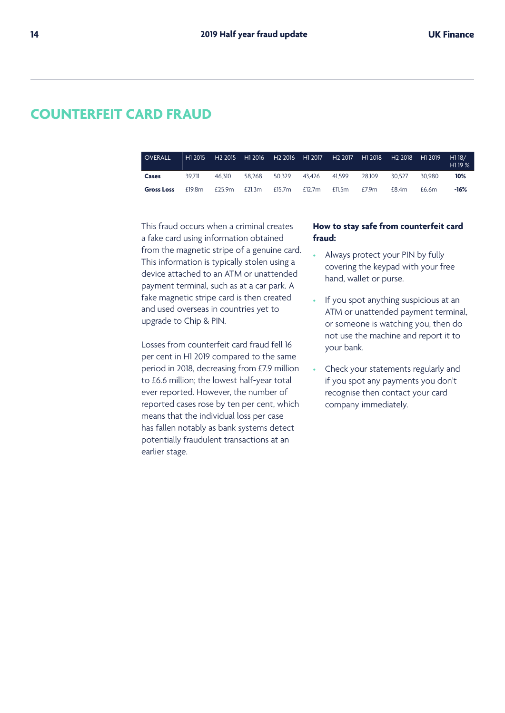## **COUNTERFEIT CARD FRAUD**

| <b>OVERALL</b>    | H1 2015 |           |        |        |           |        |        | H1 2018 H2 2018 H1 2019 |        | H118/<br>H119% |
|-------------------|---------|-----------|--------|--------|-----------|--------|--------|-------------------------|--------|----------------|
| Cases             | 39.711  | 46.310    | 58.268 | 50.329 | 43.426    | 41.599 | 28.109 | 30.527                  | 30.980 | 10%            |
| <b>Gross Loss</b> | £19.8m  | £25.9 $m$ | £21.3m | £15.7m | £12.7 $m$ | £11.5m | E7.9m  | f84m                    | f66m   | $-16%$         |

This fraud occurs when a criminal creates a fake card using information obtained from the magnetic stripe of a genuine card. This information is typically stolen using a device attached to an ATM or unattended payment terminal, such as at a car park. A fake magnetic stripe card is then created and used overseas in countries yet to upgrade to Chip & PIN.

Losses from counterfeit card fraud fell 16 per cent in H1 2019 compared to the same period in 2018, decreasing from £7.9 million to £6.6 million; the lowest half-year total ever reported. However, the number of reported cases rose by ten per cent, which means that the individual loss per case has fallen notably as bank systems detect potentially fraudulent transactions at an earlier stage.

#### **How to stay safe from counterfeit card fraud:**

- Always protect your PIN by fully covering the keypad with your free hand, wallet or purse.
- If you spot anything suspicious at an ATM or unattended payment terminal, or someone is watching you, then do not use the machine and report it to your bank.
- Check your statements regularly and if you spot any payments you don't recognise then contact your card company immediately.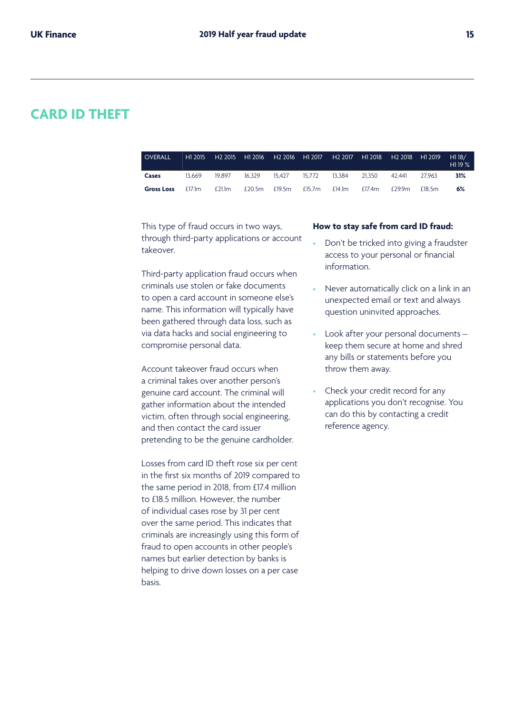### **CARD ID THEFT**

| <b>OVERALL</b>    | H1 2015 | H <sub>2</sub> 2015 | H1 2016 | H <sub>2</sub> 2016 | H1 2017   | H <sub>2</sub> 2017 | H1 2018 | H2 2018 H1 2019 |        | H118/<br>H <sub>119</sub> $\%$ |
|-------------------|---------|---------------------|---------|---------------------|-----------|---------------------|---------|-----------------|--------|--------------------------------|
| Cases             | 13.669  | 19.897              | 16.329  | 15.427              | 15.772    | 13.384              | 21.350  | 42.441          | 27.963 | 31%                            |
| <b>Gross Loss</b> | £17.1m  | £21.1m              | £20.5m  | £19.5m              | £15.7 $m$ | £14.1m              | £17.4m  | £29.9m          | f18.5m | 6%                             |

This type of fraud occurs in two ways, through third-party applications or account takeover.

Third-party application fraud occurs when criminals use stolen or fake documents to open a card account in someone else's name. This information will typically have been gathered through data loss, such as via data hacks and social engineering to compromise personal data.

Account takeover fraud occurs when a criminal takes over another person's genuine card account. The criminal will gather information about the intended victim, often through social engineering, and then contact the card issuer pretending to be the genuine cardholder.

Losses from card ID theft rose six per cent in the first six months of 2019 compared to the same period in 2018, from £17.4 million to £18.5 million. However, the number of individual cases rose by 31 per cent over the same period. This indicates that criminals are increasingly using this form of fraud to open accounts in other people's names but earlier detection by banks is helping to drive down losses on a per case basis.

#### **How to stay safe from card ID fraud:**

- Don't be tricked into giving a fraudster access to your personal or financial information.
- Never automatically click on a link in an unexpected email or text and always question uninvited approaches.
- Look after your personal documents keep them secure at home and shred any bills or statements before you throw them away.
- Check your credit record for any applications you don't recognise. You can do this by contacting a credit reference agency.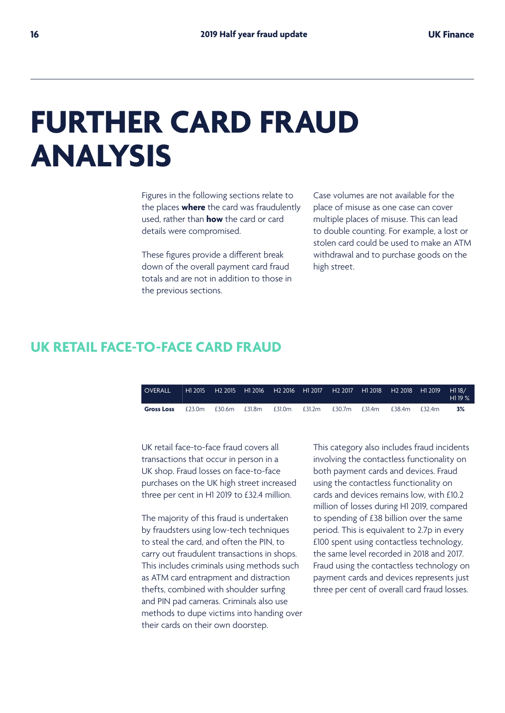## **FURTHER CARD FRAUD ANALYSIS**

Figures in the following sections relate to the places **where** the card was fraudulently used, rather than **how** the card or card details were compromised.

These figures provide a different break down of the overall payment card fraud totals and are not in addition to those in the previous sections.

Case volumes are not available for the place of misuse as one case can cover multiple places of misuse. This can lead to double counting. For example, a lost or stolen card could be used to make an ATM withdrawal and to purchase goods on the high street.

## **UK RETAIL FACE-TO-FACE CARD FRAUD**

| <b>COVERALL</b>   | H1 2015 | H <sub>2</sub> 2015 | H1 2016 | H <sub>2</sub> 2016 H1 2017 |        | H <sub>2</sub> 2017 |           | H1 2018 H2 2018 H1 2019 |       | H118/<br>H119% |
|-------------------|---------|---------------------|---------|-----------------------------|--------|---------------------|-----------|-------------------------|-------|----------------|
| <b>Gross Loss</b> | £23.0m  | £30.6m              | £31.8m  | £31.0m                      | £31.2m | £30.7m              | £31.4 $m$ | £38.4m                  | f324m | 3%             |

UK retail face-to-face fraud covers all transactions that occur in person in a UK shop. Fraud losses on face-to-face purchases on the UK high street increased three per cent in H1 2019 to £32.4 million.

The majority of this fraud is undertaken by fraudsters using low-tech techniques to steal the card, and often the PIN, to carry out fraudulent transactions in shops. This includes criminals using methods such as ATM card entrapment and distraction thefts, combined with shoulder surfing and PIN pad cameras. Criminals also use methods to dupe victims into handing over their cards on their own doorstep.

This category also includes fraud incidents involving the contactless functionality on both payment cards and devices. Fraud using the contactless functionality on cards and devices remains low, with £10.2 million of losses during H1 2019, compared to spending of £38 billion over the same period. This is equivalent to 2.7p in every £100 spent using contactless technology, the same level recorded in 2018 and 2017. Fraud using the contactless technology on payment cards and devices represents just three per cent of overall card fraud losses.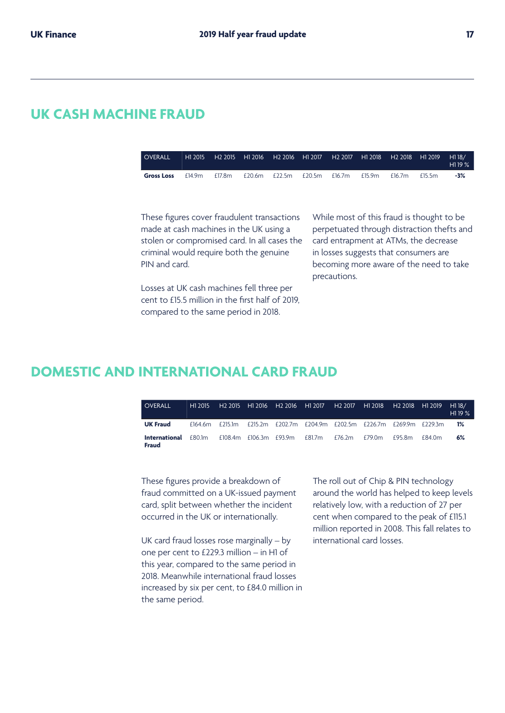### **UK CASH MACHINE FRAUD**

| <b>OVERALL</b>    | H1 2015 | └ H2 2015  H1 2016  H2 2016  H1 2017  H2 2017  H1 2018  H2 2018  H1 2019  H1 18∕ |               |        |        |        |        |         | H1 19 $\%$ |
|-------------------|---------|----------------------------------------------------------------------------------|---------------|--------|--------|--------|--------|---------|------------|
| <b>Gross Loss</b> | £14.9m  | £17.8m                                                                           | £20.6m £22.5m | £20.5m | £16.7m | £15.9m | £16.7m | f 15.5m | $-3%$      |

These figures cover fraudulent transactions made at cash machines in the UK using a stolen or compromised card. In all cases the criminal would require both the genuine PIN and card.

Losses at UK cash machines fell three per cent to £15.5 million in the first half of 2019, compared to the same period in 2018.

While most of this fraud is thought to be perpetuated through distraction thefts and card entrapment at ATMs, the decrease in losses suggests that consumers are becoming more aware of the need to take precautions.

### **DOMESTIC AND INTERNATIONAL CARD FRAUD**

| OVERALL                                     | H1 2015 |  |                                                                         |  | H2 2018 H1 2019 |          | H1 18/<br>H119% |
|---------------------------------------------|---------|--|-------------------------------------------------------------------------|--|-----------------|----------|-----------------|
| <b>UK Fraud</b>                             |         |  | £164.6m £215.1m £215.2m £202.7m £204.9m £202.5m £226.7m £269.9m £229.3m |  |                 |          | 1%              |
| <b>International</b> £80.1m<br><b>Fraud</b> |         |  | £108.4m £106.3m £93.9m £81.7m £76.2m £79.0m                             |  | £95.8m          | f 84 0 m | 6%              |

These figures provide a breakdown of fraud committed on a UK-issued payment card, split between whether the incident occurred in the UK or internationally.

UK card fraud losses rose marginally – by one per cent to £229.3 million – in H1 of this year, compared to the same period in 2018. Meanwhile international fraud losses increased by six per cent, to £84.0 million in the same period.

The roll out of Chip & PIN technology around the world has helped to keep levels relatively low, with a reduction of 27 per cent when compared to the peak of £115.1 million reported in 2008. This fall relates to international card losses.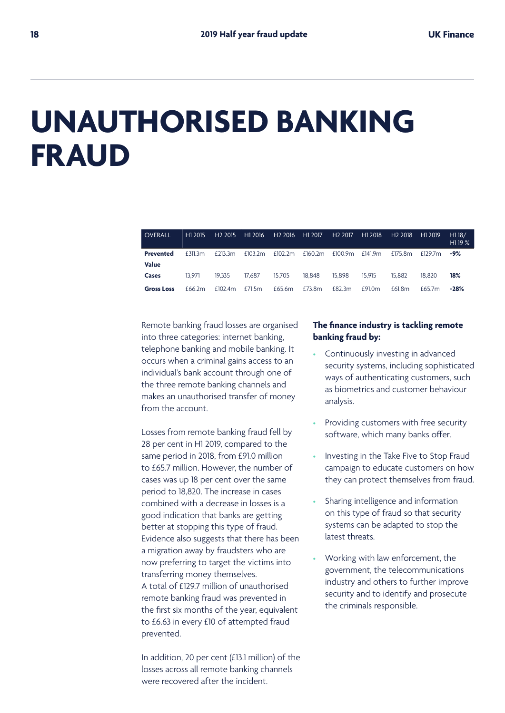## **UNAUTHORISED BANKING FRAUD**

| <b>OVERALL</b>    | H1 2015 | H <sub>2</sub> 2015 | H1 2016 | H <sub>2</sub> 2016 | H1 2017 | H <sub>2</sub> 2017 | H1 2018 | H2 2018 | H1 2019 | H118/<br>H <sub>1</sub> 19 $%$ |
|-------------------|---------|---------------------|---------|---------------------|---------|---------------------|---------|---------|---------|--------------------------------|
| <b>Prevented</b>  | £311.3m | £213.3m             | £103.2m | £102.2 <sub>m</sub> | £160.2m | £100.9m             | £141.9m | £175.8m | £129.7m | $-9%$                          |
| <b>Value</b>      |         |                     |         |                     |         |                     |         |         |         |                                |
| Cases             | 13.971  | 19.335              | 17.687  | 15.705              | 18.848  | 15.898              | 15.915  | 15.882  | 18.820  | 18%                            |
| <b>Gross Loss</b> | £66.2m  | £102.4m             | £71.5m  | £65.6m              | £73.8m  | £82.3m              | £91.0m  | £61.8m  | f657m   | -28%                           |

Remote banking fraud losses are organised into three categories: internet banking, telephone banking and mobile banking. It occurs when a criminal gains access to an individual's bank account through one of the three remote banking channels and makes an unauthorised transfer of money from the account.

Losses from remote banking fraud fell by 28 per cent in H1 2019, compared to the same period in 2018, from £91.0 million to £65.7 million. However, the number of cases was up 18 per cent over the same period to 18,820. The increase in cases combined with a decrease in losses is a good indication that banks are getting better at stopping this type of fraud. Evidence also suggests that there has been a migration away by fraudsters who are now preferring to target the victims into transferring money themselves. A total of £129.7 million of unauthorised remote banking fraud was prevented in the first six months of the year, equivalent to £6.63 in every £10 of attempted fraud prevented.

In addition, 20 per cent (£13.1 million) of the losses across all remote banking channels were recovered after the incident.

#### **The finance industry is tackling remote banking fraud by:**

- Continuously investing in advanced security systems, including sophisticated ways of authenticating customers, such as biometrics and customer behaviour analysis.
- Providing customers with free security software, which many banks offer.
- Investing in the Take Five to Stop Fraud campaign to educate customers on how they can protect themselves from fraud.
- Sharing intelligence and information on this type of fraud so that security systems can be adapted to stop the latest threats.
- Working with law enforcement, the government, the telecommunications industry and others to further improve security and to identify and prosecute the criminals responsible.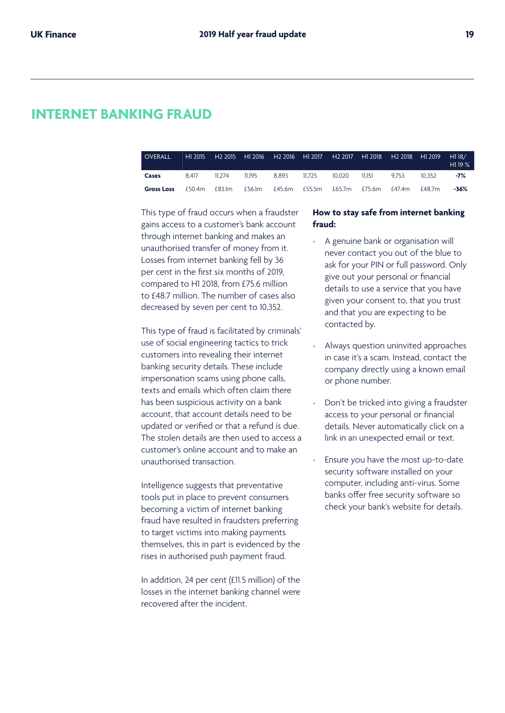### **INTERNET BANKING FRAUD**

| <b>OVERALL</b>    | H1 2015 | H2 2015 H1 2016 H2 2016 H1 2017 H2 2017 H1 2018 H2 2018 H1 2019 |        |                                           |               |       |        | H118/<br>H119% |
|-------------------|---------|-----------------------------------------------------------------|--------|-------------------------------------------|---------------|-------|--------|----------------|
| Cases             | 8.417   | 11.274                                                          | 11.195 | 8.893 11.725                              | 10.020 11.151 | 9.753 | 10.352 | $-7%$          |
| <b>Gross Loss</b> | £50.4m  | £83.1m                                                          |        | £56.1m £45.6m £55.5m £65.7m £75.6m £47.4m |               |       | £48.7m | -36%           |

This type of fraud occurs when a fraudster gains access to a customer's bank account through internet banking and makes an unauthorised transfer of money from it. Losses from internet banking fell by 36 per cent in the first six months of 2019, compared to H1 2018, from £75.6 million to £48.7 million. The number of cases also decreased by seven per cent to 10,352.

This type of fraud is facilitated by criminals' use of social engineering tactics to trick customers into revealing their internet banking security details. These include impersonation scams using phone calls, texts and emails which often claim there has been suspicious activity on a bank account, that account details need to be updated or verified or that a refund is due. The stolen details are then used to access a customer's online account and to make an unauthorised transaction.

Intelligence suggests that preventative tools put in place to prevent consumers becoming a victim of internet banking fraud have resulted in fraudsters preferring to target victims into making payments themselves, this in part is evidenced by the rises in authorised push payment fraud.

In addition, 24 per cent (£11.5 million) of the losses in the internet banking channel were recovered after the incident.

#### **How to stay safe from internet banking fraud:**

- A genuine bank or organisation will never contact you out of the blue to ask for your PIN or full password. Only give out your personal or financial details to use a service that you have given your consent to, that you trust and that you are expecting to be contacted by.
- Always question uninvited approaches in case it's a scam. Instead, contact the company directly using a known email or phone number.
- Don't be tricked into giving a fraudster access to your personal or financial details. Never automatically click on a link in an unexpected email or text.
- Ensure you have the most up-to-date security software installed on your computer, including anti-virus. Some banks offer free security software so check your bank's website for details.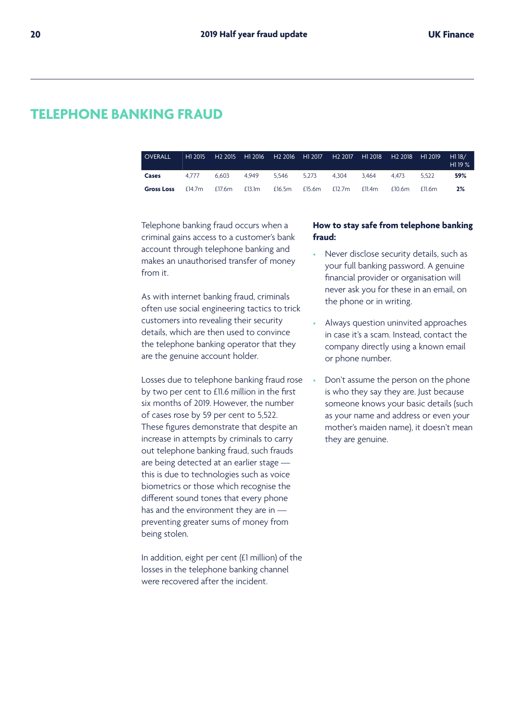## **TELEPHONE BANKING FRAUD**

| <b>OVERALL</b>    | H <sub>1</sub> 2015 | H <sub>2</sub> 2015 |        |        |        |        |        | H1 2016 H2 2016 H1 2017 H2 2017 H1 2018 H2 2018 H1 2019 |           | H1 18/<br>H <sub>1</sub> 19 $\%$ |
|-------------------|---------------------|---------------------|--------|--------|--------|--------|--------|---------------------------------------------------------|-----------|----------------------------------|
| Cases             | 4777                | 6.603               | 4.949  | 5.546  | 5.273  | 4.304  | 3.464  | 4.473                                                   | 5.522     | 59%                              |
| <b>Gross Loss</b> | £14.7m              | £17.6m              | £13.1m | £16.5m | £15.6m | £12.7m | £11.4m | £10.6m                                                  | $f$ ll 6m | 2%                               |

Telephone banking fraud occurs when a criminal gains access to a customer's bank account through telephone banking and makes an unauthorised transfer of money from it.

As with internet banking fraud, criminals often use social engineering tactics to trick customers into revealing their security details, which are then used to convince the telephone banking operator that they are the genuine account holder.

Losses due to telephone banking fraud rose by two per cent to £11.6 million in the first six months of 2019. However, the number of cases rose by 59 per cent to 5,522. These figures demonstrate that despite an increase in attempts by criminals to carry out telephone banking fraud, such frauds are being detected at an earlier stage this is due to technologies such as voice biometrics or those which recognise the different sound tones that every phone has and the environment they are in preventing greater sums of money from being stolen.

In addition, eight per cent (£1 million) of the losses in the telephone banking channel were recovered after the incident.

#### **How to stay safe from telephone banking fraud:**

- Never disclose security details, such as your full banking password. A genuine financial provider or organisation will never ask you for these in an email, on the phone or in writing.
- Always question uninvited approaches in case it's a scam. Instead, contact the company directly using a known email or phone number.
- Don't assume the person on the phone is who they say they are. Just because someone knows your basic details (such as your name and address or even your mother's maiden name), it doesn't mean they are genuine.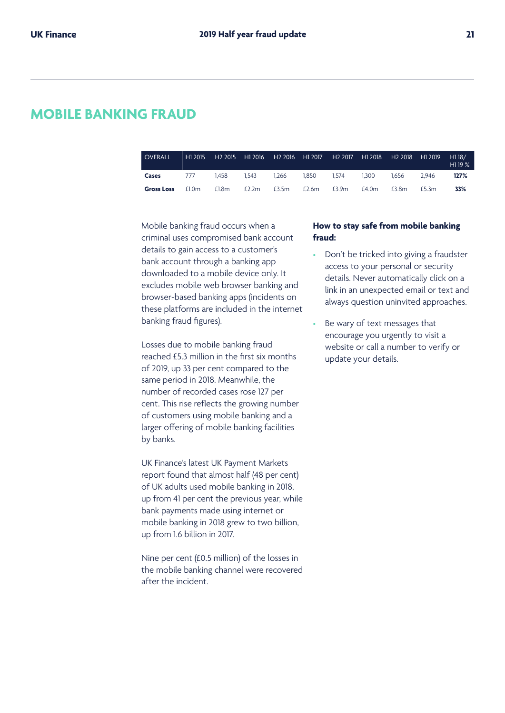### **MOBILE BANKING FRAUD**

| <b>OVERALL</b>    | H1 2015 | H <sub>2</sub> 2015 |          | H1 2016 H2 2016 H1 2017 |       | H2 2017 | H1 2018 | H <sub>2</sub> 2018 H <sub>1</sub> 2019 |       | H118/<br>H1 19 % |
|-------------------|---------|---------------------|----------|-------------------------|-------|---------|---------|-----------------------------------------|-------|------------------|
| Cases             | 777     | 1.458               | 1.543    | 1.266                   | 1.850 | 1.574   | 1.300   | 1.656                                   | 2.946 | 127%             |
| <b>Gross Loss</b> | £1.0m   | £1.8m               | £2.2 $m$ | £3.5m                   | £2.6m | £3.9m   | £4.0m   | £3.8m                                   | £5.3m | 33%              |

Mobile banking fraud occurs when a criminal uses compromised bank account details to gain access to a customer's bank account through a banking app downloaded to a mobile device only. It excludes mobile web browser banking and browser-based banking apps (incidents on these platforms are included in the internet banking fraud figures).

Losses due to mobile banking fraud reached £5.3 million in the first six months of 2019, up 33 per cent compared to the same period in 2018. Meanwhile, the number of recorded cases rose 127 per cent. This rise reflects the growing number of customers using mobile banking and a larger offering of mobile banking facilities by banks.

UK Finance's latest UK Payment Markets report found that almost half (48 per cent) of UK adults used mobile banking in 2018, up from 41 per cent the previous year, while bank payments made using internet or mobile banking in 2018 grew to two billion, up from 1.6 billion in 2017.

Nine per cent (£0.5 million) of the losses in the mobile banking channel were recovered after the incident.

#### **How to stay safe from mobile banking fraud:**

- Don't be tricked into giving a fraudster access to your personal or security details. Never automatically click on a link in an unexpected email or text and always question uninvited approaches.
- Be wary of text messages that encourage you urgently to visit a website or call a number to verify or update your details.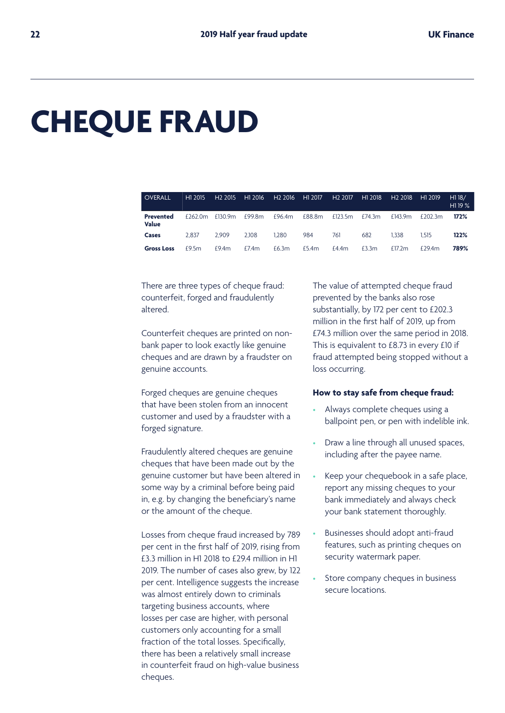## **CHEQUE FRAUD**

| <b>OVERALL</b>                   | H1 2015 | H <sub>2</sub> 2015 | H1 2016 | H <sub>2</sub> 2016 | H1 2017 | H <sub>2</sub> 2017 | H <sub>1</sub> 2018 | H <sub>2</sub> 2018 | H <sub>1</sub> 2019 | H118/<br>H1 19 % |
|----------------------------------|---------|---------------------|---------|---------------------|---------|---------------------|---------------------|---------------------|---------------------|------------------|
| <b>Prevented</b><br><b>Value</b> | £262.0m | £130.9m             | £99.8m  | £96.4m              | £88.8m  | £123.5 $m$          | £74.3 $m$           | £143.9m             | £202.3m             | 172%             |
| Cases                            | 2.837   | 2.909               | 2.108   | 1.280               | 984     | 761                 | 682                 | 1.338               | 1.515               | 122%             |
| <b>Gross Loss</b>                | £9.5m   | £9.4m               | E7.4m   | £6.3m               | £5.4m   | £4.4m               | £3.3m               | £17.2m              | $f$ 794 $m$         | 789%             |

There are three types of cheque fraud: counterfeit, forged and fraudulently altered.

Counterfeit cheques are printed on nonbank paper to look exactly like genuine cheques and are drawn by a fraudster on genuine accounts.

Forged cheques are genuine cheques that have been stolen from an innocent customer and used by a fraudster with a forged signature.

Fraudulently altered cheques are genuine cheques that have been made out by the genuine customer but have been altered in some way by a criminal before being paid in, e.g. by changing the beneficiary's name or the amount of the cheque.

Losses from cheque fraud increased by 789 per cent in the first half of 2019, rising from £3.3 million in H1 2018 to £29.4 million in H1 2019. The number of cases also grew, by 122 per cent. Intelligence suggests the increase was almost entirely down to criminals targeting business accounts, where losses per case are higher, with personal customers only accounting for a small fraction of the total losses. Specifically, there has been a relatively small increase in counterfeit fraud on high-value business cheques.

The value of attempted cheque fraud prevented by the banks also rose substantially, by 172 per cent to £202.3 million in the first half of 2019, up from £74.3 million over the same period in 2018. This is equivalent to £8.73 in every £10 if fraud attempted being stopped without a loss occurring.

#### **How to stay safe from cheque fraud:**

- Always complete cheques using a ballpoint pen, or pen with indelible ink.
- Draw a line through all unused spaces, including after the payee name.
- Keep your chequebook in a safe place, report any missing cheques to your bank immediately and always check your bank statement thoroughly.
- Businesses should adopt anti-fraud features, such as printing cheques on security watermark paper.
- Store company cheques in business secure locations.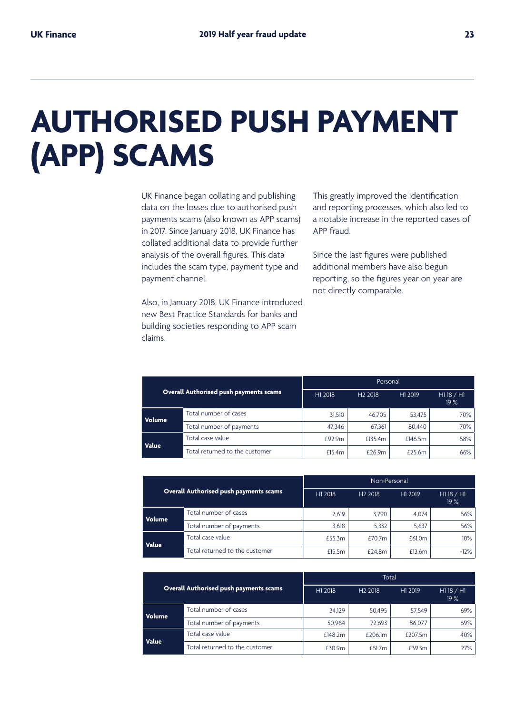## **AUTHORISED PUSH PAYMENT (APP) SCAMS**

UK Finance began collating and publishing data on the losses due to authorised push payments scams (also known as APP scams) in 2017. Since January 2018, UK Finance has collated additional data to provide further analysis of the overall figures. This data includes the scam type, payment type and payment channel.

Also, in January 2018, UK Finance introduced new Best Practice Standards for banks and building societies responding to APP scam claims.

This greatly improved the identification and reporting processes, which also led to a notable increase in the reported cases of APP fraud.

Since the last figures were published additional members have also begun reporting, so the figures year on year are not directly comparable.

|        |                                        | Personal |                     |         |                     |  |  |
|--------|----------------------------------------|----------|---------------------|---------|---------------------|--|--|
|        | Overall Authorised push payments scams | H1 2018  | H <sub>2</sub> 2018 | H1 2019 | $HI$ 18 / H1<br>19% |  |  |
| Volume | Total number of cases                  | 31.510   | 46.705              | 53.475  | 70%                 |  |  |
|        | Total number of payments               | 47.346   | 67.361              | 80,440  | 70%                 |  |  |
| Value  | Total case value                       | £92.9m   | £135.4m             | £146.5m | 58%                 |  |  |
|        | Total returned to the customer         | £15.4m   | £26.9m              | £25.6m  | 66%                 |  |  |

|        |                                        | Non-Personal |                     |         |                     |  |  |
|--------|----------------------------------------|--------------|---------------------|---------|---------------------|--|--|
|        | Overall Authorised push payments scams | H1 2018      | H <sub>2</sub> 2018 | H1 2019 | $HI$ 18 / H1<br>19% |  |  |
| Volume | Total number of cases                  | 2.619        | 3.790               | 4.074   | 56%                 |  |  |
|        | Total number of payments               | 3,618        | 5.332               | 5,637   | 56%                 |  |  |
| Value  | Total case value                       | £55.3m       | £70.7 <sub>m</sub>  | £61.0m  | $10\%$              |  |  |
|        | Total returned to the customer         | £15.5m       | £24.8m              | £13.6m  | $-12%$              |  |  |

|        |                                        | Total   |                     |         |                     |  |  |
|--------|----------------------------------------|---------|---------------------|---------|---------------------|--|--|
|        | Overall Authorised push payments scams | H1 2018 | H <sub>2</sub> 2018 | H1 2019 | $HI$ 18 / H1<br>19% |  |  |
| Volume | Total number of cases                  | 34.129  | 50.495              | 57.549  | 69%                 |  |  |
|        | Total number of payments               | 50.964  | 72.693              | 86.077  | 69%                 |  |  |
|        | Total case value                       | £148.2m | £206.1m             | £207.5m | 40%                 |  |  |
| Value  | Total returned to the customer         | £30.9m  | £51.7 $m$           | £39.3m  | 27%                 |  |  |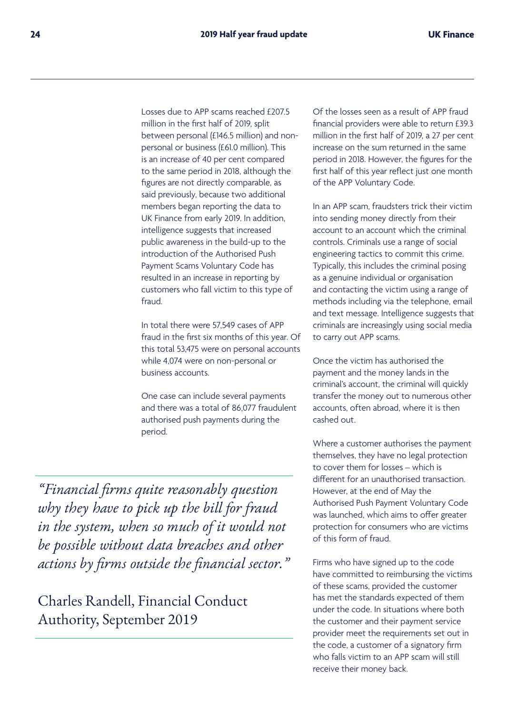Losses due to APP scams reached £207.5 million in the first half of 2019, split between personal (£146.5 million) and nonpersonal or business (£61.0 million). This is an increase of 40 per cent compared to the same period in 2018, although the figures are not directly comparable, as said previously, because two additional members began reporting the data to UK Finance from early 2019. In addition, intelligence suggests that increased public awareness in the build-up to the introduction of the Authorised Push Payment Scams Voluntary Code has resulted in an increase in reporting by customers who fall victim to this type of fraud.

In total there were 57,549 cases of APP fraud in the first six months of this year. Of this total 53,475 were on personal accounts while 4,074 were on non-personal or business accounts.

One case can include several payments and there was a total of 86,077 fraudulent authorised push payments during the period.

*"Financial firms quite reasonably question why they have to pick up the bill for fraud in the system, when so much of it would not be possible without data breaches and other actions by firms outside the financial sector."* 

Charles Randell, Financial Conduct Authority, September 2019

Of the losses seen as a result of APP fraud financial providers were able to return £39.3 million in the first half of 2019, a 27 per cent increase on the sum returned in the same period in 2018. However, the figures for the first half of this year reflect just one month of the APP Voluntary Code.

In an APP scam, fraudsters trick their victim into sending money directly from their account to an account which the criminal controls. Criminals use a range of social engineering tactics to commit this crime. Typically, this includes the criminal posing as a genuine individual or organisation and contacting the victim using a range of methods including via the telephone, email and text message. Intelligence suggests that criminals are increasingly using social media to carry out APP scams.

Once the victim has authorised the payment and the money lands in the criminal's account, the criminal will quickly transfer the money out to numerous other accounts, often abroad, where it is then cashed out.

Where a customer authorises the payment themselves, they have no legal protection to cover them for losses – which is different for an unauthorised transaction. However, at the end of May the Authorised Push Payment Voluntary Code was launched, which aims to offer greater protection for consumers who are victims of this form of fraud.

Firms who have signed up to the code have committed to reimbursing the victims of these scams, provided the customer has met the standards expected of them under the code. In situations where both the customer and their payment service provider meet the requirements set out in the code, a customer of a signatory firm who falls victim to an APP scam will still receive their money back.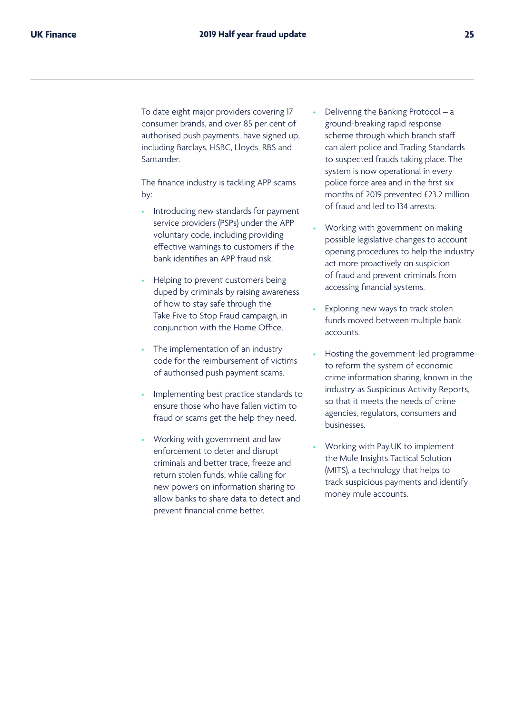To date eight major providers covering 17 consumer brands, and over 85 per cent of authorised push payments, have signed up, including Barclays, HSBC, Lloyds, RBS and Santander.

The finance industry is tackling APP scams by:

- Introducing new standards for payment service providers (PSPs) under the APP voluntary code, including providing effective warnings to customers if the bank identifies an APP fraud risk.
- Helping to prevent customers being duped by criminals by raising awareness of how to stay safe through the Take Five to Stop Fraud campaign, in conjunction with the Home Office.
- The implementation of an industry code for the reimbursement of victims of authorised push payment scams.
- Implementing best practice standards to ensure those who have fallen victim to fraud or scams get the help they need.
- Working with government and law enforcement to deter and disrupt criminals and better trace, freeze and return stolen funds, while calling for new powers on information sharing to allow banks to share data to detect and prevent financial crime better.
- Delivering the Banking Protocol a ground-breaking rapid response scheme through which branch staff can alert police and Trading Standards to suspected frauds taking place. The system is now operational in every police force area and in the first six months of 2019 prevented £23.2 million of fraud and led to 134 arrests.
- Working with government on making possible legislative changes to account opening procedures to help the industry act more proactively on suspicion of fraud and prevent criminals from accessing financial systems.
- Exploring new ways to track stolen funds moved between multiple bank accounts.
- Hosting the government-led programme to reform the system of economic crime information sharing, known in the industry as Suspicious Activity Reports, so that it meets the needs of crime agencies, regulators, consumers and businesses.
- Working with Pay.UK to implement the Mule Insights Tactical Solution (MITS), a technology that helps to track suspicious payments and identify money mule accounts.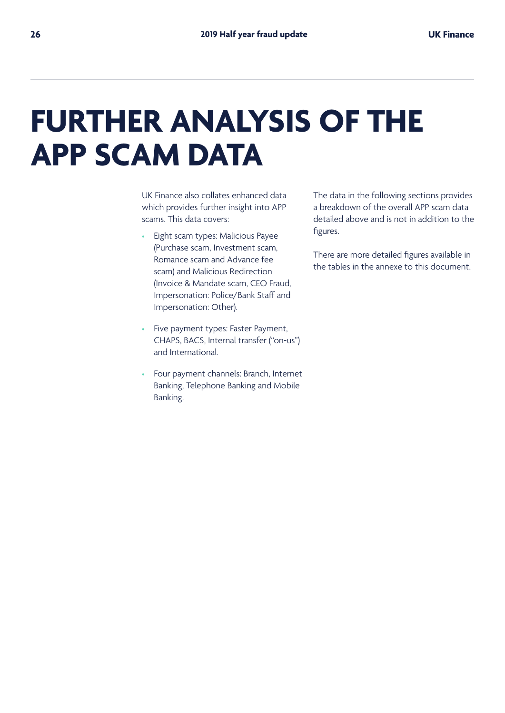## **FURTHER ANALYSIS OF THE APP SCAM DATA**

UK Finance also collates enhanced data which provides further insight into APP scams. This data covers:

- Eight scam types: Malicious Payee (Purchase scam, Investment scam, Romance scam and Advance fee scam) and Malicious Redirection (Invoice & Mandate scam, CEO Fraud, Impersonation: Police/Bank Staff and Impersonation: Other).
- Five payment types: Faster Payment, CHAPS, BACS, Internal transfer ("on-us") and International.
- Four payment channels: Branch, Internet Banking, Telephone Banking and Mobile Banking.

The data in the following sections provides a breakdown of the overall APP scam data detailed above and is not in addition to the figures.

There are more detailed figures available in the tables in the annexe to this document.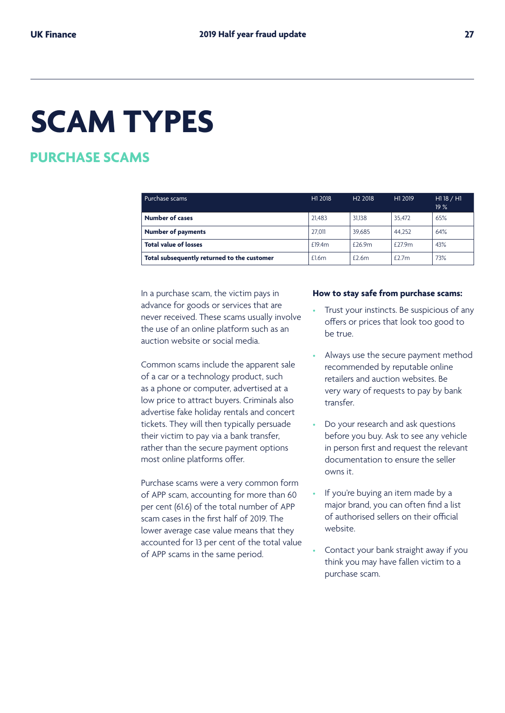## **SCAM TYPES**

## **PURCHASE SCAMS**

| Purchase scams                              | H1 2018 | H <sub>2</sub> 2018 | H <sub>1</sub> 2019 | H118 / H1<br>19% |
|---------------------------------------------|---------|---------------------|---------------------|------------------|
| <b>Number of cases</b>                      | 21.483  | 31.138              | 35.472              | 65%              |
| <b>Number of payments</b>                   | 27.011  | 39.685              | 44.252              | 64%              |
| <b>Total value of losses</b>                | £19.4m  | £26.9m              | £27.9m              | 43%              |
| Total subsequently returned to the customer | £1.6m   | £2.6m               | £2.7m               | 73%              |

In a purchase scam, the victim pays in advance for goods or services that are never received. These scams usually involve the use of an online platform such as an auction website or social media.

Common scams include the apparent sale of a car or a technology product, such as a phone or computer, advertised at a low price to attract buyers. Criminals also advertise fake holiday rentals and concert tickets. They will then typically persuade their victim to pay via a bank transfer, rather than the secure payment options most online platforms offer.

Purchase scams were a very common form of APP scam, accounting for more than 60 per cent (61.6) of the total number of APP scam cases in the first half of 2019. The lower average case value means that they accounted for 13 per cent of the total value of APP scams in the same period.

#### **How to stay safe from purchase scams:**

- Trust your instincts. Be suspicious of any offers or prices that look too good to be true.
- Always use the secure payment method recommended by reputable online retailers and auction websites. Be very wary of requests to pay by bank transfer.
- Do your research and ask questions before you buy. Ask to see any vehicle in person first and request the relevant documentation to ensure the seller owns it.
- If you're buying an item made by a major brand, you can often find a list of authorised sellers on their official website.
- Contact your bank straight away if you think you may have fallen victim to a purchase scam.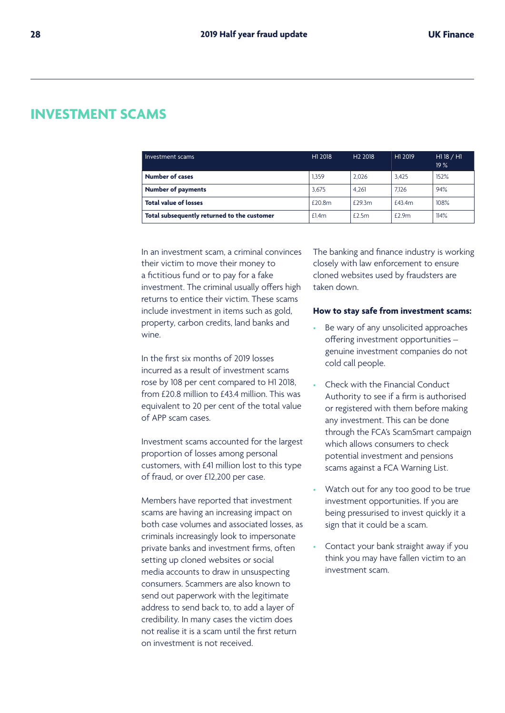## **INVESTMENT SCAMS**

| Investment scams                            | H1 2018 | H <sub>2</sub> 2018 | H <sub>1</sub> 2019 | $HI$ 18 / H1<br>19% |
|---------------------------------------------|---------|---------------------|---------------------|---------------------|
| <b>Number of cases</b>                      | 1.359   | 2.026               | 3.425               | 152%                |
| <b>Number of payments</b>                   | 3.675   | 4.261               | 7.126               | 94%                 |
| <b>Total value of losses</b>                | £20.8m  | £29.3m              | £43.4m              | 108%                |
| Total subsequently returned to the customer | £1.4m   | £2.5m               | £2.9m               | 114%                |

In an investment scam, a criminal convinces their victim to move their money to a fictitious fund or to pay for a fake investment. The criminal usually offers high returns to entice their victim. These scams include investment in items such as gold, property, carbon credits, land banks and wine.

In the first six months of 2019 losses incurred as a result of investment scams rose by 108 per cent compared to H1 2018, from £20.8 million to £43.4 million. This was equivalent to 20 per cent of the total value of APP scam cases.

Investment scams accounted for the largest proportion of losses among personal customers, with £41 million lost to this type of fraud, or over £12,200 per case.

Members have reported that investment scams are having an increasing impact on both case volumes and associated losses, as criminals increasingly look to impersonate private banks and investment firms, often setting up cloned websites or social media accounts to draw in unsuspecting consumers. Scammers are also known to send out paperwork with the legitimate address to send back to, to add a layer of credibility. In many cases the victim does not realise it is a scam until the first return on investment is not received.

The banking and finance industry is working closely with law enforcement to ensure cloned websites used by fraudsters are taken down.

#### **How to stay safe from investment scams:**

- Be wary of any unsolicited approaches offering investment opportunities – genuine investment companies do not cold call people.
- Check with the Financial Conduct Authority to see if a firm is authorised or registered with them before making any investment. This can be done through the FCA's ScamSmart campaign which allows consumers to check potential investment and pensions scams against a FCA Warning List.
- Watch out for any too good to be true investment opportunities. If you are being pressurised to invest quickly it a sign that it could be a scam.
- Contact your bank straight away if you think you may have fallen victim to an investment scam.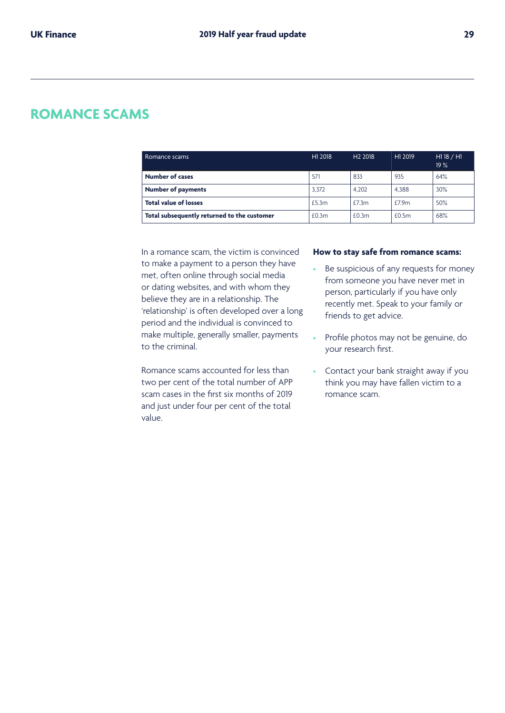## **ROMANCE SCAMS**

| Romance scams                               | H1 2018 | H <sub>2</sub> 2018 | H <sub>1</sub> 2019 | $HI$ 18 / H1<br>19% |
|---------------------------------------------|---------|---------------------|---------------------|---------------------|
| <b>Number of cases</b>                      | 571     | 833                 | 935                 | 64%                 |
| <b>Number of payments</b>                   | 3,372   | 4.202               | 4.388               | 30%                 |
| <b>Total value of losses</b>                | £5.3m   | £7.3m               | £7.9m               | 50%                 |
| Total subsequently returned to the customer | £0.3m   | £0.3m               | £0.5m               | 68%                 |

In a romance scam, the victim is convinced to make a payment to a person they have met, often online through social media or dating websites, and with whom they believe they are in a relationship. The 'relationship' is often developed over a long period and the individual is convinced to make multiple, generally smaller, payments to the criminal.

Romance scams accounted for less than two per cent of the total number of APP scam cases in the first six months of 2019 and just under four per cent of the total value.

#### **How to stay safe from romance scams:**

- Be suspicious of any requests for money from someone you have never met in person, particularly if you have only recently met. Speak to your family or friends to get advice.
- Profile photos may not be genuine, do your research first.
- Contact your bank straight away if you think you may have fallen victim to a romance scam.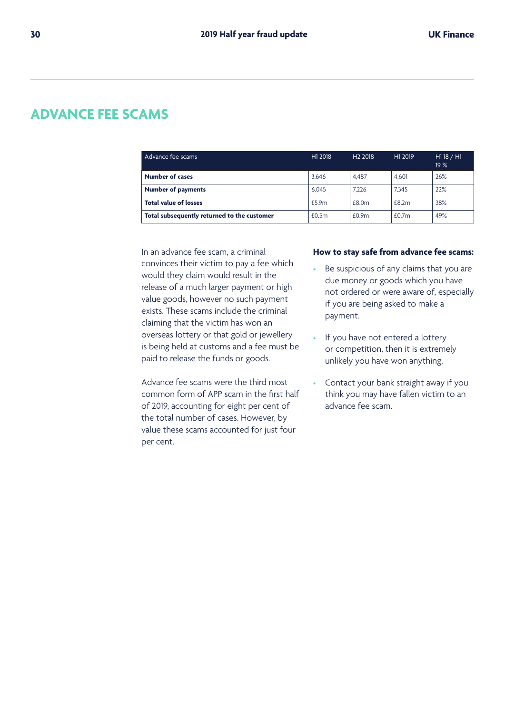## **ADVANCE FEE SCAMS**

| Advance fee scams                           | H1 2018 | H <sub>2</sub> 2018 | H <sub>1</sub> 2019 | H118 / H1<br>19% |
|---------------------------------------------|---------|---------------------|---------------------|------------------|
| <b>Number of cases</b>                      | 3.646   | 4.487               | 4.601               | 26%              |
| <b>Number of payments</b>                   | 6.045   | 7.226               | 7.345               | 22%              |
| <b>Total value of losses</b>                | £5.9m   | £8.0m               | £8.2m               | 38%              |
| Total subsequently returned to the customer | £0.5m   | £0.9m               | £0.7m               | 49%              |

In an advance fee scam, a criminal convinces their victim to pay a fee which would they claim would result in the release of a much larger payment or high value goods, however no such payment exists. These scams include the criminal claiming that the victim has won an overseas lottery or that gold or jewellery is being held at customs and a fee must be paid to release the funds or goods.

Advance fee scams were the third most common form of APP scam in the first half of 2019, accounting for eight per cent of the total number of cases. However, by value these scams accounted for just four per cent.

#### **How to stay safe from advance fee scams:**

- Be suspicious of any claims that you are due money or goods which you have not ordered or were aware of, especially if you are being asked to make a payment.
- If you have not entered a lottery or competition, then it is extremely unlikely you have won anything.
- Contact your bank straight away if you think you may have fallen victim to an advance fee scam.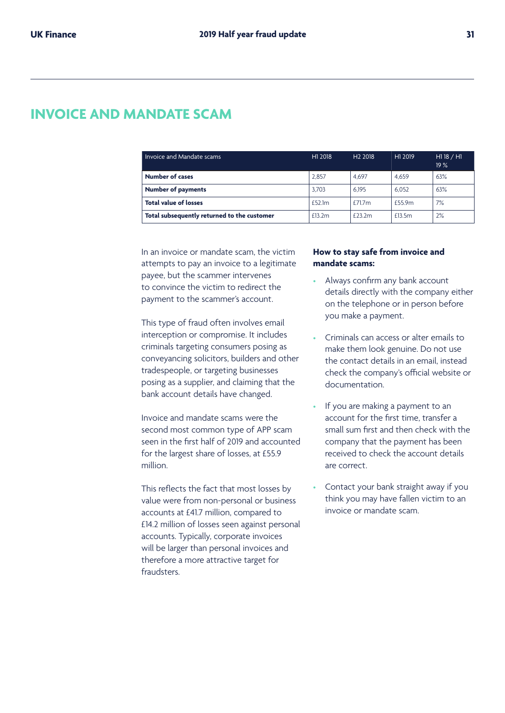## **INVOICE AND MANDATE SCAM**

| Invoice and Mandate scams                   | H1 2018 | H <sub>2</sub> 2018 | H <sub>1</sub> 2019 | $HI$ 18 / H1<br>19% |
|---------------------------------------------|---------|---------------------|---------------------|---------------------|
| <b>Number of cases</b>                      | 2.857   | 4.697               | 4.659               | 63%                 |
| <b>Number of payments</b>                   | 3.703   | 6.195               | 6.052               | 63%                 |
| <b>Total value of losses</b>                | £52.1m  | £71.7m              | £55.9m              | 7%                  |
| Total subsequently returned to the customer | £13.2m  | £23.2m              | £13.5m              | 2%                  |

In an invoice or mandate scam, the victim attempts to pay an invoice to a legitimate payee, but the scammer intervenes to convince the victim to redirect the payment to the scammer's account.

This type of fraud often involves email interception or compromise. It includes criminals targeting consumers posing as conveyancing solicitors, builders and other tradespeople, or targeting businesses posing as a supplier, and claiming that the bank account details have changed.

Invoice and mandate scams were the second most common type of APP scam seen in the first half of 2019 and accounted for the largest share of losses, at £55.9 million.

This reflects the fact that most losses by value were from non-personal or business accounts at £41.7 million, compared to £14.2 million of losses seen against personal accounts. Typically, corporate invoices will be larger than personal invoices and therefore a more attractive target for fraudsters.

#### **How to stay safe from invoice and mandate scams:**

- Always confirm any bank account details directly with the company either on the telephone or in person before you make a payment.
- Criminals can access or alter emails to make them look genuine. Do not use the contact details in an email, instead check the company's official website or documentation.
- If you are making a payment to an account for the first time, transfer a small sum first and then check with the company that the payment has been received to check the account details are correct.
- Contact your bank straight away if you think you may have fallen victim to an invoice or mandate scam.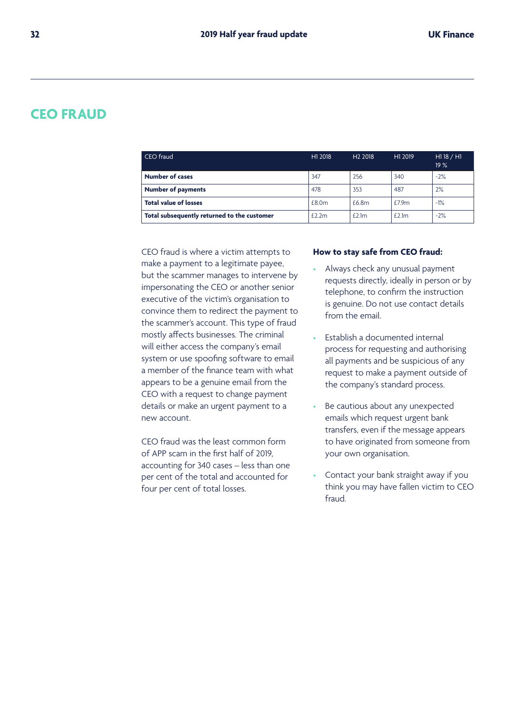### **CEO FRAUD**

| CEO fraud                                   | H1 2018 | H <sub>2</sub> 2018 | H1 2019 | H118 / H1<br>19% |
|---------------------------------------------|---------|---------------------|---------|------------------|
| <b>Number of cases</b>                      | 347     | 256                 | 340     | $-2%$            |
| <b>Number of payments</b>                   | 478     | 353                 | 487     | 2%               |
| <b>Total value of losses</b>                | £8.0m   | £6.8m               | £7.9m   | $-1%$            |
| Total subsequently returned to the customer | £2.2m   | £2.1m               | £2.1m   | $-2%$            |

CEO fraud is where a victim attempts to make a payment to a legitimate payee, but the scammer manages to intervene by impersonating the CEO or another senior executive of the victim's organisation to convince them to redirect the payment to the scammer's account. This type of fraud mostly affects businesses. The criminal will either access the company's email system or use spoofing software to email a member of the finance team with what appears to be a genuine email from the CEO with a request to change payment details or make an urgent payment to a new account.

CEO fraud was the least common form of APP scam in the first half of 2019, accounting for 340 cases – less than one per cent of the total and accounted for four per cent of total losses.

#### **How to stay safe from CEO fraud:**

- Always check any unusual payment requests directly, ideally in person or by telephone, to confirm the instruction is genuine. Do not use contact details from the email.
- Establish a documented internal process for requesting and authorising all payments and be suspicious of any request to make a payment outside of the company's standard process.
- Be cautious about any unexpected emails which request urgent bank transfers, even if the message appears to have originated from someone from your own organisation.
- Contact your bank straight away if you think you may have fallen victim to CEO fraud.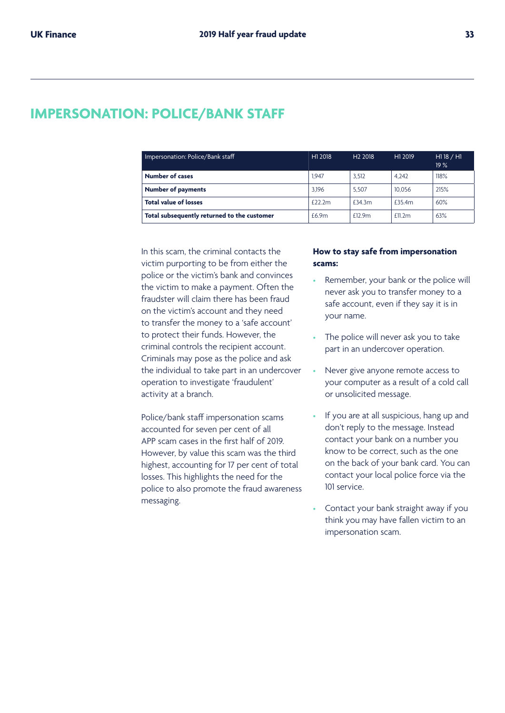## **IMPERSONATION: POLICE/BANK STAFF**

| Impersonation: Police/Bank staff            | H1 2018 | H <sub>2</sub> 2018 | H <sub>1</sub> 2019 | H118/H1<br>19% |
|---------------------------------------------|---------|---------------------|---------------------|----------------|
| <b>Number of cases</b>                      | 1.947   | 3.512               | 4.242               | 118%           |
| <b>Number of payments</b>                   | 3.196   | 5.507               | 10.056              | 215%           |
| <b>Total value of losses</b>                | £22.2m  | £34.3m              | £35.4m              | 60%            |
| Total subsequently returned to the customer | £6.9m   | f129m               | $f$ 11.2m           | 63%            |

In this scam, the criminal contacts the victim purporting to be from either the police or the victim's bank and convinces the victim to make a payment. Often the fraudster will claim there has been fraud on the victim's account and they need to transfer the money to a 'safe account' to protect their funds. However, the criminal controls the recipient account. Criminals may pose as the police and ask the individual to take part in an undercover operation to investigate 'fraudulent' activity at a branch.

Police/bank staff impersonation scams accounted for seven per cent of all APP scam cases in the first half of 2019. However, by value this scam was the third highest, accounting for 17 per cent of total losses. This highlights the need for the police to also promote the fraud awareness messaging.

#### **How to stay safe from impersonation scams:**

- Remember, your bank or the police will never ask you to transfer money to a safe account, even if they say it is in your name.
- The police will never ask you to take part in an undercover operation.
- Never give anyone remote access to your computer as a result of a cold call or unsolicited message.
- If you are at all suspicious, hang up and don't reply to the message. Instead contact your bank on a number you know to be correct, such as the one on the back of your bank card. You can contact your local police force via the 101 service.
- Contact your bank straight away if you think you may have fallen victim to an impersonation scam.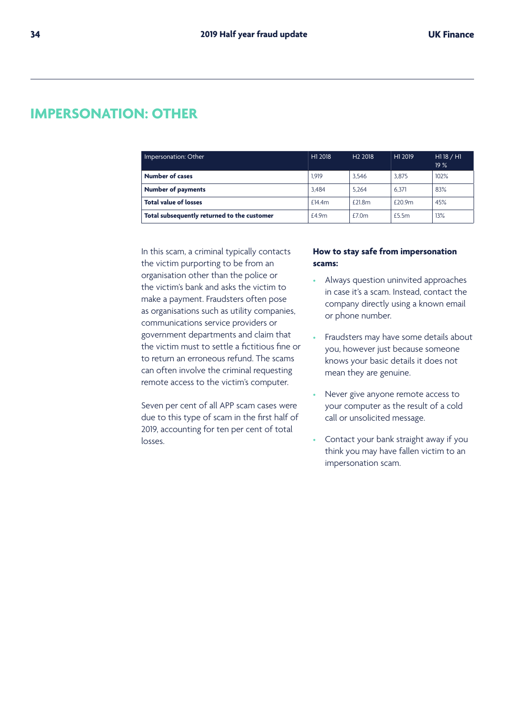## **IMPERSONATION: OTHER**

| Impersonation: Other                        | H1 2018 | H <sub>2</sub> 2018 | H1 2019 | H118 / H1<br>19% |
|---------------------------------------------|---------|---------------------|---------|------------------|
| <b>Number of cases</b>                      | 1.919   | 3.546               | 3.875   | 102%             |
| <b>Number of payments</b>                   | 3.484   | 5.264               | 6.371   | 83%              |
| <b>Total value of losses</b>                | £14.4m  | £21.8m              | £20.9m  | 45%              |
| Total subsequently returned to the customer | £4.9m   | £7.0m               | £5.5m   | 13%              |

In this scam, a criminal typically contacts the victim purporting to be from an organisation other than the police or the victim's bank and asks the victim to make a payment. Fraudsters often pose as organisations such as utility companies, communications service providers or government departments and claim that the victim must to settle a fictitious fine or to return an erroneous refund. The scams can often involve the criminal requesting remote access to the victim's computer.

Seven per cent of all APP scam cases were due to this type of scam in the first half of 2019, accounting for ten per cent of total losses.

#### **How to stay safe from impersonation scams:**

- Always question uninvited approaches in case it's a scam. Instead, contact the company directly using a known email or phone number.
- Fraudsters may have some details about you, however just because someone knows your basic details it does not mean they are genuine.
- Never give anyone remote access to your computer as the result of a cold call or unsolicited message.
- Contact your bank straight away if you think you may have fallen victim to an impersonation scam.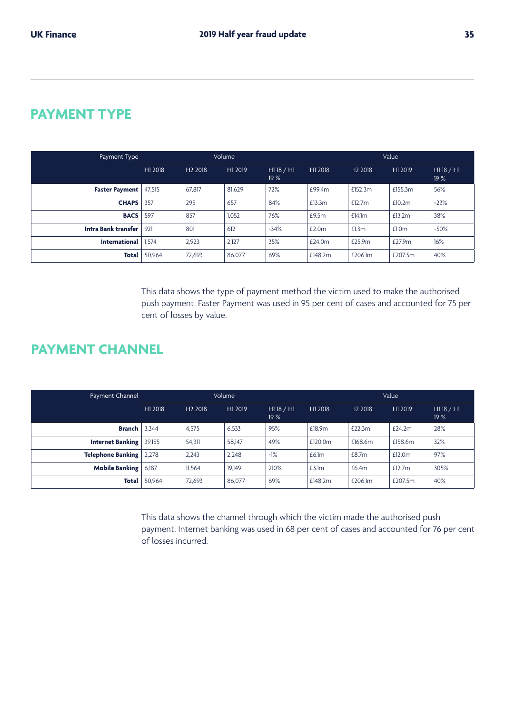## **PAYMENT TYPE**

| Payment Type          | Volume  |                     |         | Value          |         |                     |         |                     |
|-----------------------|---------|---------------------|---------|----------------|---------|---------------------|---------|---------------------|
|                       | H1 2018 | H <sub>2</sub> 2018 | H1 2019 | H118/H1<br>19% | H1 2018 | H <sub>2</sub> 2018 | H1 2019 | H1 18 $/$ H1<br>19% |
| <b>Faster Payment</b> | 47.515  | 67,817              | 81.629  | 72%            | £99.4m  | £152.3m             | £155.3m | 56%                 |
| <b>CHAPS</b>          | 357     | 295                 | 657     | 84%            | £13.3m  | £12.7 $m$           | £10.2m  | $-23%$              |
| <b>BACS</b>           | 597     | 857                 | 1,052   | 76%            | £9.5m   | £14.1m              | £13.2m  | 38%                 |
| Intra Bank transfer   | 921     | 801                 | 612     | $-34%$         | £2.0m   | £1.3m               | £1.0m   | $-50%$              |
| <b>International</b>  | 1.574   | 2,923               | 2,127   | 35%            | £24.0m  | £25.9m              | £27.9m  | 16%                 |
| Total                 | 50,964  | 72,693              | 86,077  | 69%            | £148.2m | £206.1m             | £207.5m | 40%                 |

This data shows the type of payment method the victim used to make the authorised push payment. Faster Payment was used in 95 per cent of cases and accounted for 75 per cent of losses by value.

## **PAYMENT CHANNEL**

| Payment Channel          | Volume  |                     |         | Value            |         |                     |           |                     |
|--------------------------|---------|---------------------|---------|------------------|---------|---------------------|-----------|---------------------|
|                          | H1 2018 | H <sub>2</sub> 2018 | H1 2019 | H118 / H1<br>19% | H1 2018 | H <sub>2</sub> 2018 | H1 2019   | $HI$ 18 / H1<br>19% |
| <b>Branch</b>            | 3.344   | 4.575               | 6.533   | 95%              | £18.9m  | £22.3m              | £24.2m    | 28%                 |
| <b>Internet Banking</b>  | 39.155  | 54,311              | 58.147  | 49%              | £120.0m | £168.6m             | £158.6m   | 32%                 |
| <b>Telephone Banking</b> | 2,278   | 2,243               | 2.248   | $-1\%$           | £6.1m   | £8.7m               | £12.0m    | 97%                 |
| <b>Mobile Banking</b>    | 6.187   | 11,564              | 19.149  | 210%             | £3.1m   | £6.4m               | £12.7 $m$ | 305%                |
| Total                    | 50,964  | 72.693              | 86,077  | 69%              | £148.2m | £206.1m             | £207.5m   | 40%                 |

This data shows the channel through which the victim made the authorised push payment. Internet banking was used in 68 per cent of cases and accounted for 76 per cent of losses incurred.